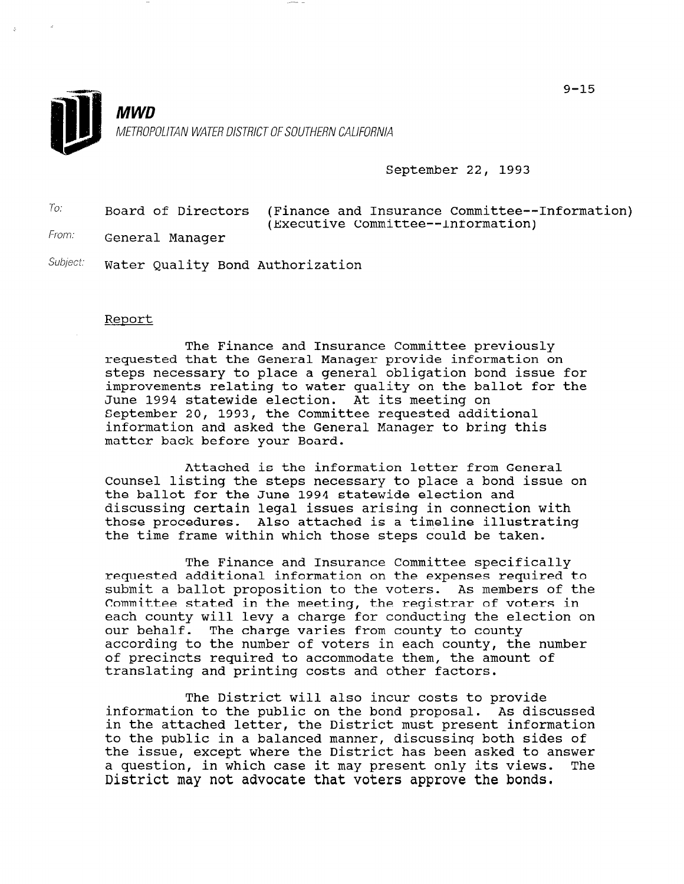

#### September 22, 1993

| To:   |                 | Board of Directors (Finance and Insurance Committee--Information) |
|-------|-----------------|-------------------------------------------------------------------|
|       |                 | (Executive Committee--Information)                                |
| From: | Conoral Managor |                                                                   |

General Manager

Subject: Water Quality Bond Authorization

#### Report

The Finance and Insurance Committee previously requested that the General Manager provide information on steps necessary to place a general obligation bond issue for improvements relating to water quality on the ballot for the June 1994 statewide election. At its meeting on September 20, 1993, the Committee requested additional information and asked the General Manager to bring this matter back before your Board.

Attached is the information letter from General Counsel listing the steps necessary to place a bond issue on the ballot for the June 1994 statewide election and discussing certain legal issues arising in connection with those procedures. Also attached is a timeline illustrating the time frame within which those steps could be taken.

The Finance and Insurance Committee specifically requested additional information on the expenses required to submit a ballot proposition to the voters. As members of the Committee stated in the meeting, the registrar of voters in each county will levy a charge for conducting the election on our behalf. The charge varies from county to county our behair. The charge varies from county to county,<br>caccoding to the number of voters in each county, the number according to the number of voters in each county, the number of precincts required to accommodate them, the amount of translating and printing costs and other factors.

The District will also incur costs to provide information to the public will discussed to provide<br>information to the public on the bond proposal. As discussed in the attached letter, the District must present information in the attached letter, the District must present information to the public in a balanced manner, discussing both sides of the issue, except where the District has been asked to answer<br>a question, in which case it may present only its views. The a question, in which case it may present only its views.<br>District may not advocate that voters approve the bonds.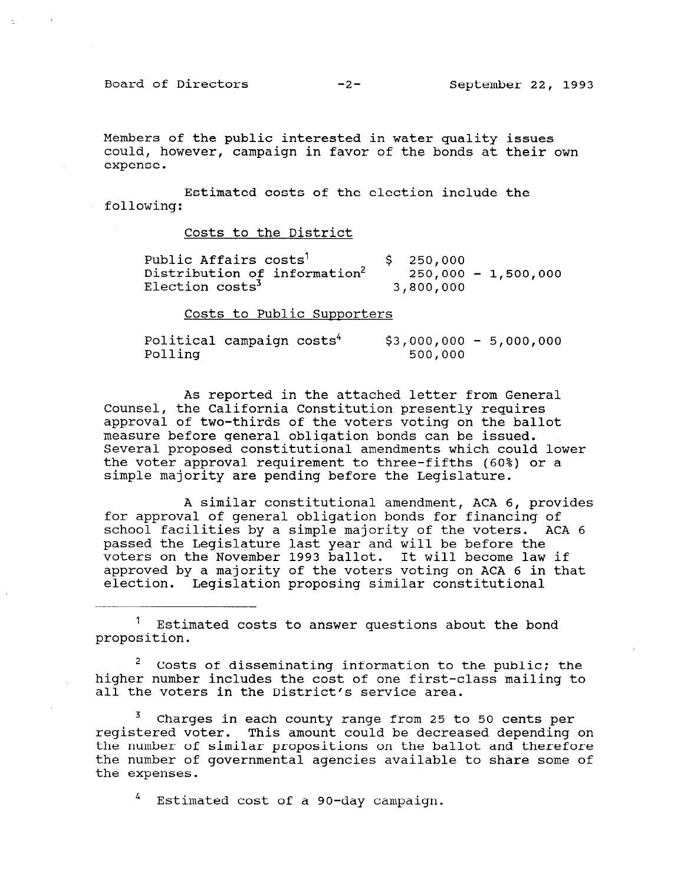Board of Directors -2- September 22, 1993

Members of the public interested in water quality issues could, however, campaign in favor of the bonds at their own expense.

Estimated costs of the election include the following:

Costs to the District

| Public Affairs costs <sup>1</sup>        | \$250,000 |                       |
|------------------------------------------|-----------|-----------------------|
| Distribution of information <sup>2</sup> |           | $250,000 - 1,500,000$ |
| Election costs <sup>3</sup>              | 3,800,000 |                       |

Costs to Public Supporters

| Political campaign costs <sup>4</sup> |  | $$3,000,000 - 5,000,000$ |  |
|---------------------------------------|--|--------------------------|--|
| Polling                               |  | 500,000                  |  |

As reported in the attached letter from General Counsel, the California Constitution presently requires approval of two-thirds of the voters voting on the ballot measure before general obligation bonds can be issued. Several proposed constitutional amendments which could lower the voter approval requirement to three-fifths (60%) or a simple majority are pending before the Legislature.

A similar constitutional amendment, ACA 6, provides for approval of general obligation bonds for financing of school facilities by a simple majority of the voters. ACA 6 passed the Legislature last year and will be before the voters on the November 1993 ballot. It will become law if approved by a majority of the voters voting on ACA 6 in that election. Legislation proposing similar constitutional

 $1$  Estimated costs to answer questions about the bond proposition.

 $2^2$  Costs of disseminating information to the public; the USUS OF UISSEMINATING INFORMATION TO THE PUBLIC, THE nigher number includes the cost of one first-

 $\frac{3}{2}$  charges in each county range from 25 to 50 cents per 25 cents per 25 cents per 25 cents per 25 cents per 25 cents per 25 cents per 25 cents per 25 cents per 25 cents per 25 cents per 25 cents per 25 cents per 25 charges in each county range from 25 to 50 cents per registered voter. This amount could be decreased depending on the number of similar propositions on the ballot and therefore the number of governmental agencies available to share some of the expenses.

4 Estimated cost of a go-day campaign.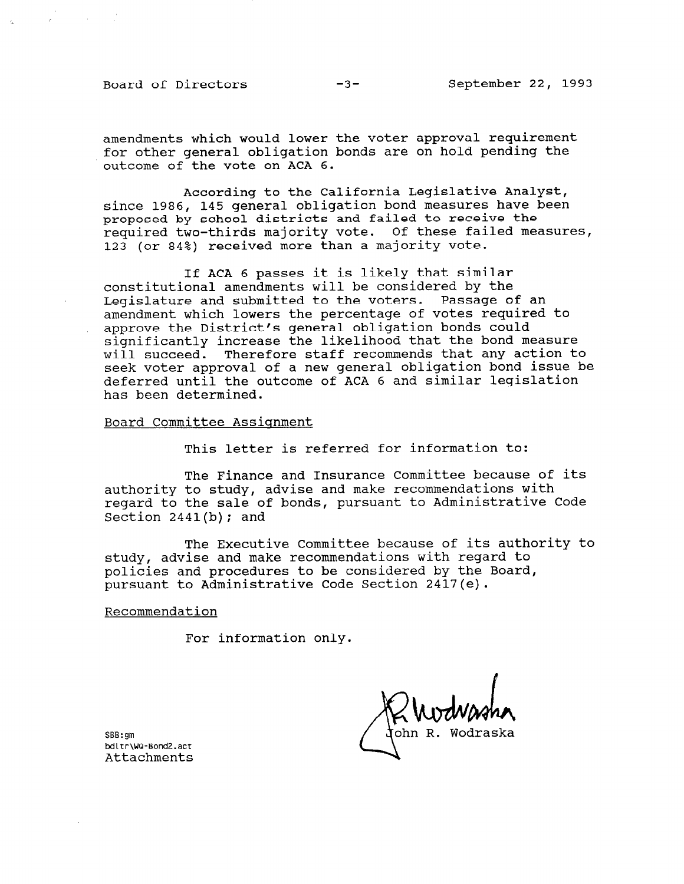Board of Directors -3- September 22, 1993

amendments which would lower the voter approval requirement for other general obligation bonds are on hold pending the outcome of the vote on ACA 6.

According to the California Legislative Analyst, since 1986, 145 general obligation bond measures have been proposed by school districts and failed to receive the required two-thirds majority vote. Of these failed measures, 123 (or 84%) received more than a majority vote.

If ACA 6 passes it is likely that similar constitutional amendments will be considered by the Legislature and submitted to the voters. Passage of an amendment which lowers the percentage of votes required to approve the District's general obligation bonds could significantly increase the likelihood that the bond measure will succeed. Therefore staff recommends that any action to seek voter approval of a new general obligation bond issue be deferred until the outcome of ACA 6 and similar legislation has been determined.

Board Committee Assignment

This letter is referred for information to:

The Finance and Insurance Committee because of its authority to study, advise and make recommendations with regard to the sale of bonds, pursuant to Administrative Code Section  $2441(b)$ ; and

The Executive Committee because of its authority to study, advise and make recommendations with regard to policies and procedures to be considered by the Board, pursuant to Administrative Code Section 2417(e).

Recommendation

For information only.

K WUMMAN

SBB:gm opatym<br>bdltr\WQ-Bond2<br>act = class = c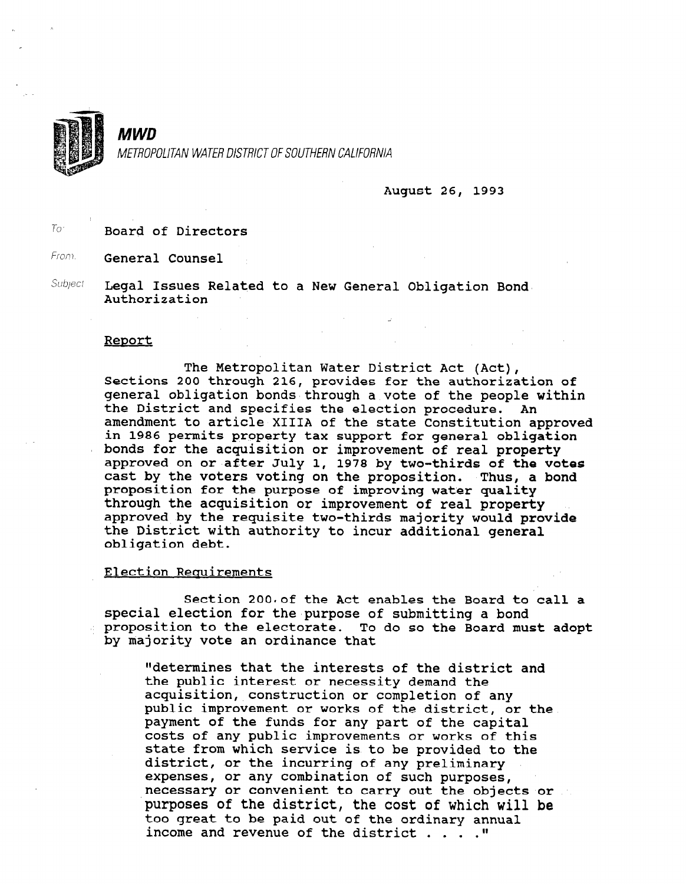

MWD METROPOLITAN WATER DISTRICT OF SOUTHERN CALIFORNIA

August 26, 1993

To<sup>r</sup> Board of Directors

From. General Counsel

Subject Legal Issues Related to a New General Obligation Bond. Authorization

#### Report

The Metropolitan Water District Act (Act), Sections 200 through 216, provides for the authorization of the authorization of the authorization of the authorization of sections zuu through zie, provides for the authorization of the people with the people with the people with the people with the people with the people with the people with the people with the people with the people with th deneral opiigation ponds through a vote of the people. the District and specifies the election procedure. An amendment to article XIIIA of the state Constitution approved in 1986 permits property tax support for general obligation bonds for the acquisition or improvement of real property approved on or after July 1, 1978 by two-thirds of the votes cast by the voters voting on the proposition. Thus, a bond proposition for the purpose of improving water quality through the acquisition or improvement of real property approved by the requisite two-thirds majority would provide the District with authority to incur additional general obligation debt.

Section 200. of the Act enables the Board to call a special election for the purpose of submitting a bond proposition to the electorate. To do so the Board must adopt by majority vote an ordinance that

 $S_{\rm eff}$  is the Act enables the  $B_{\rm eff}$  the  $B_{\rm eff}$  the Board to call and  $B_{\rm eff}$ 

"determines that the interests of the district and the public interest or necessity demand the acquisition, construction or completion of any public improvement or works of the district, or the payment of the funds for any part of the capital costs of any public improvements or works of this state from which service is to be provided to the district, or the incurring of any preliminary expenses, or any combination of such purposes, necessary or convenient to carry out the objects or purposes of the district, the cost of which will be too great to be paid out of the ordinary annual income and revenue of the district . . . . "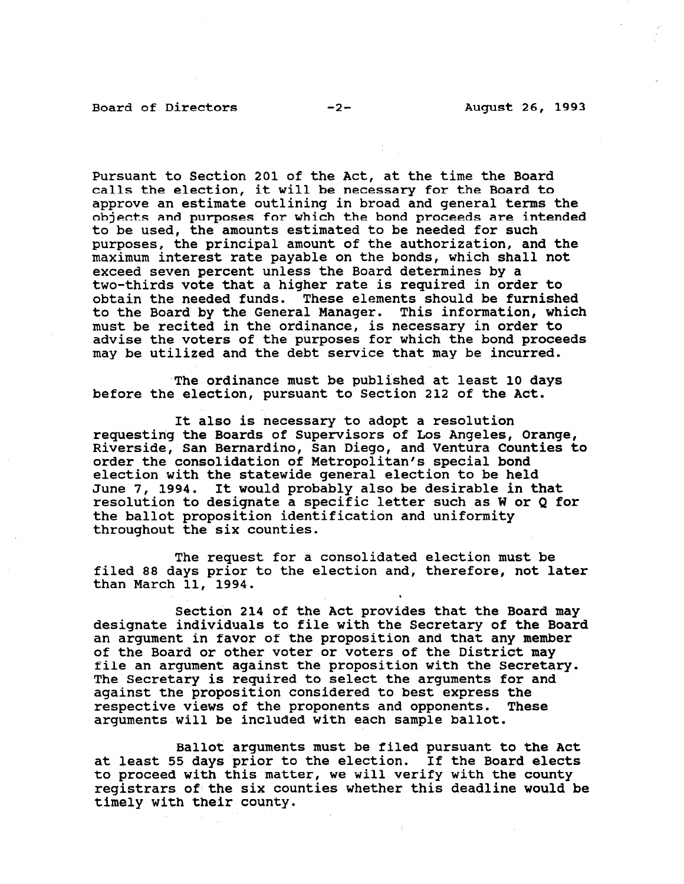Pursuant to Section 201 of the Act, at the time the Board calls the election, it will be necessary for the Board to approve an estimate outlining in broad and general terms the objects and purposes for which the bond proceeds are intended to be used, the amounts estimated to be needed for such purposes, the principal amount of the authorization, and the maximum interest rate payable on the bonds, which shall not exceed seven percent unless the Board determines by a two-thirds vote that a higher rate is required in order to obtain the needed funds. These elements should be furnished to the Board by the General Manager. This information, which must be recited in the ordinance, is necessary in order to advise the voters of the purposes for which the bond proceeds may be utilized and the debt service that may be incurred.

'The ordinance must be published at least 10 days before the election, pursuant to Section 212 of the Act.

It also is necessary to adopt a resolution requesting the Boards of Supervisors of Los Angeles, Orange, Riverside, San Bernardino, San Diego, and Ventura Counties to order the consolidation of Metropolitan's special bond election with the statewide general election to be held June 7, 1994. It would probably also be desirable in that resolution to designate a specific letter such as W or Q for the ballot proposition identification and uniformity throughout the six counties.

The request for a consolidated election must be filed 88 days prior to the election and, therefore, not later than March 11, 1994.

Section 214 of the Act provides that the Board may designate individuals to file with the Secretary of the Board an argument in favor of the proposition and that any member of the Board or other voter or voters of the District may file an argument against the proposition with the Secretary. The disapplement against the proposition with the secretary The Secretary is required to sereot the arguments for against the proposition considered to best express the respective views of the proponents and opponents. These arguments will be included with each sample ballot.

Ballot arguments must be filed pursuant to the Act bailot arguments must be lifed pursuant to the A at least 55 days prior to the election. If the Board elects to proceed with this matter, we will verify with the county registrars of the six counties whether this deadline would be timely with their county.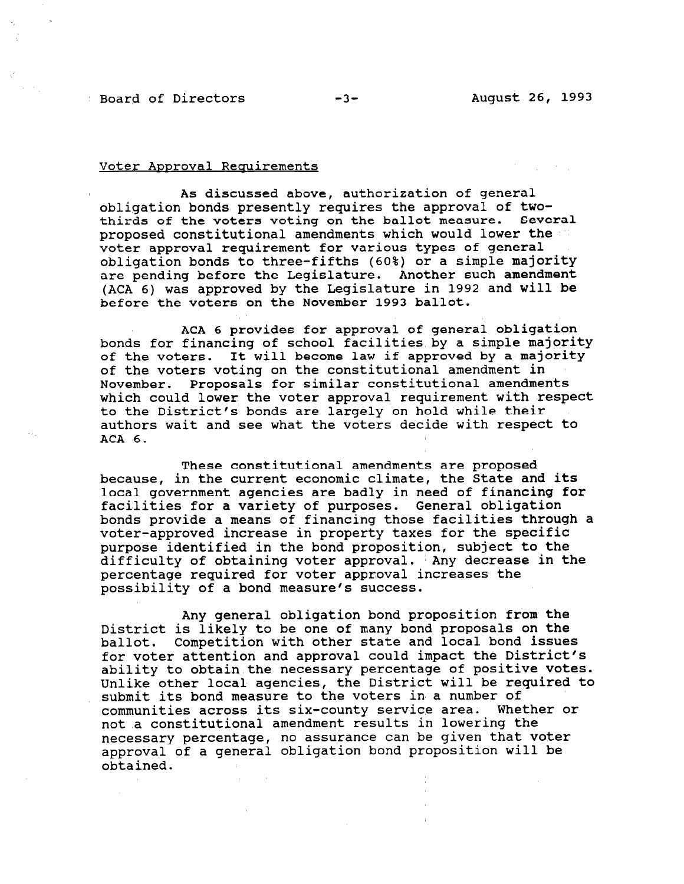### Board of Directors -3- August 26, 1993

#### Voter Approval Requirements

As discussed above, authorization of general obligation bonds presently requires the approval of twothirds of the voters voting on the ballot measure. Several proposed constitutional amendments which would lower the voter approval requirement for various types of general obligation bonds to three-fifths (60%) or a simple majority are pending before the Legislature. Another such amendment (ACA 6) was approved by the Legislature in 1992 and will be before the voters on the November 1993 ballot.

ACA 6 provides for approval of general obligation bonds for financing of school facilities by a simple majority of the voters. It will become law if approved by a majority of the voters voting on the constitutional amendment in November. Proposals for similar constitutional amendments which could lower the voter approval requirement with respect to the District's bonds are largely on hold while their authors wait and see what the voters decide with respect to ACA 6.

These constitutional amendments are proposed because, in the current economic climate, the State and its local government agencies are badly in need of financing for facilities for a variety of purposes. Ceneral obligation bonds provide a means of financing those facilities through a voter-approved increase in property taxes for the specific purpose identified in the bond proposition, subject to the difficulty of obtaining voter approval. 'Any decrease in the percentage required for voter approval increases the possibility of a bond measure's success.

Any general obligation bond proposition from the District is likely to be one of many bond proposals on the ballot. Competition with other state and local bond issues for voter attention and approval could impact the District's ability to obtain the necessary percentage of positive votes. Unlike other local agencies, the District will be required to submit its bond measure to the voters in a number of communities across its six-county service area. Whether or not a constitutional amendment results in lowering the not a constitutional amenument results in fowering the necessary percentage, no assurance can be given that voice approval of a general obligation bond proposition will be obtained.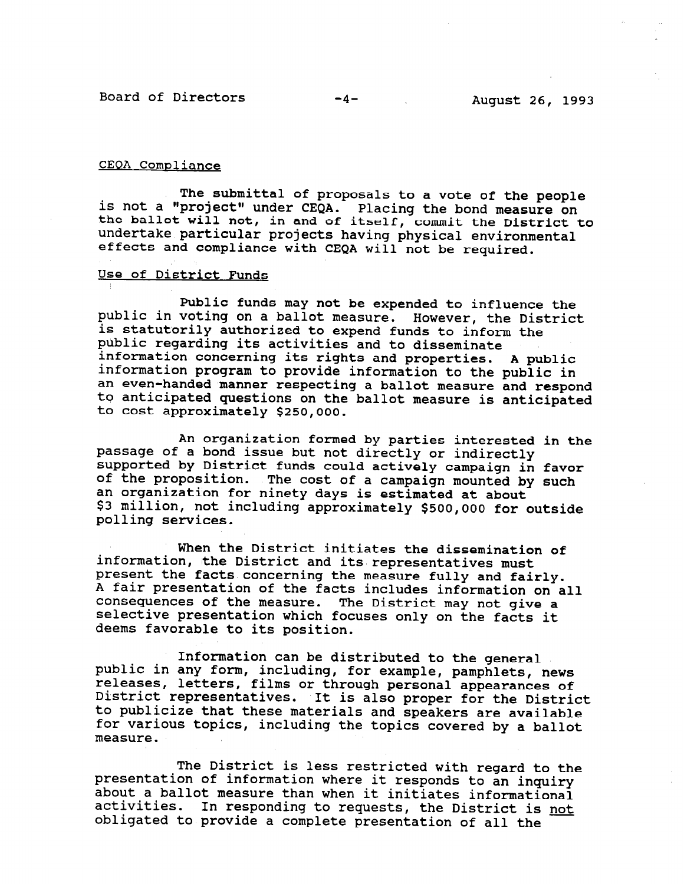Board of Directors -4- August 26, 1993

#### CEQA Compliance

The submittal of proposals to a vote of the people is not a "project" under CEOA. Placing the bond measure on the ballot will not, in and of itself, commit the District to undertake particular projects having physical environmental effects and compliance with CEQA will not be required.

#### Use of District Funds

Public funds may not be expended to influence the public in voting on a ballot measure. However, the District is statutorily authorized to expend funds to inform the public regarding its activities and to disseminate information concerning its rights and properties. A public information program to provide information to the public in an even-handed manner respecting a ballot measure and respond an even nanded manner respecting a barrot measure and respective to cost approximately \$250,000

An organization formed by parties interested in the passage of a bond issue but not directly or indirectly supported by District funds could actively campaign in favor of the proposition. The cost of a campaign mounted by such an organization for ninety days is estimated at about an organization for ninety days is estimated at about polling service

When the District initiates the dissemination of information, the District and its representatives must presentation, the District and its representatives must present the facts concerning the measure fully and fairly. A fair presentation of the facts includes information on all consequences of the measure. The District may not give a selective presentation which focuses only on the facts it deems favorable to its position.

Information can be distributed to the general public in any form including, for example, newsletch can be distributed to the general public in any form, including, for example, pamphlets, news releases, letters, films or through personal appearances of District representatives. It is also proper for the District to publicize that these materials and speakers are available for various topics, including the topics covered by a ballot measure.

 $T_{\rm eff}$  restricted with regard to the Districted with regard to the theorem is less regard to the theorem is the theorem in the set of  $\sim$ presentation of information of information where it responses to an interest restricted with regard to presentation of information where it responds to an inquiry about a ballot measure than when it initiates informational activities. In responding to requests, the District is not obligated to provide a complete presentation of all the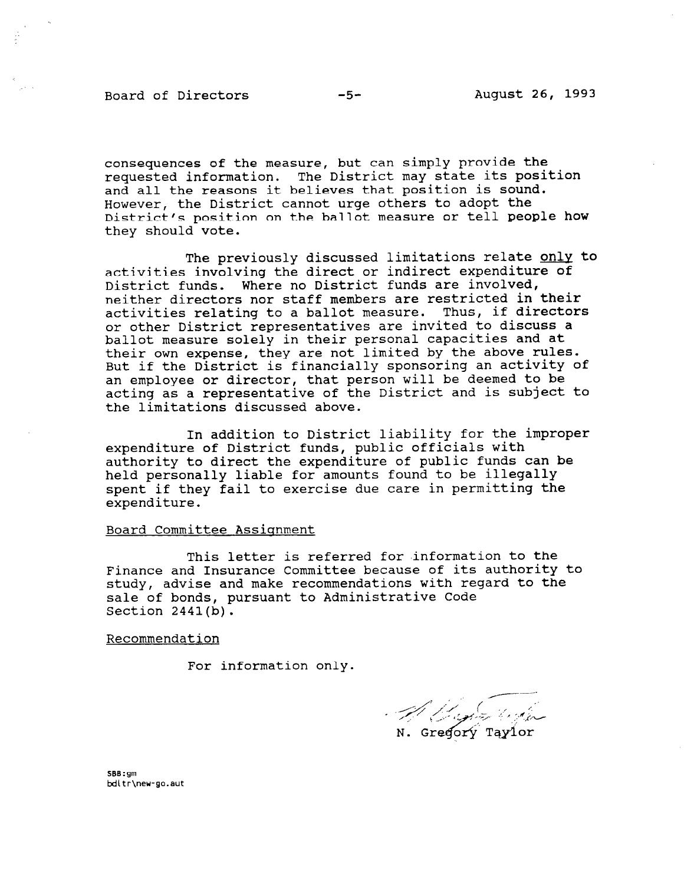Board of Directors -5- August 26, 1993

consequences of the measure, but can simply provide the requested information. The District may state its position and all the reasons it believes that position is sound. However, the District cannot urge others to adopt the District's position on the ballot measure or tell people how they should vote.

The previously discussed limitations relate only to activities involving the direct or indirect expenditure of District funds. Where no District funds are involved, neither directors nor staff members are restricted in their activities relating to a ballot measure. Thus, if directors or other District representatives are invited to discuss a ballot measure solely in their personal capacities and at their own expense, they are not limited by the above rules. But if the District is financially sponsoring an activity of an employee or director, that person will be deemed to be acting as a representative of the District and is subject to the limitations discussed above.

In addition to District liability for the improper expenditure of District funds, public officials with authority to direct the expenditure of public funds can be held personally liable for amounts found to be illegally spent if they fail to exercise due care in permitting the expenditure.

#### Board Committee Assiqnment

This letter is referred for information to the Finance and Insurance Committee because of its authority to study, advise and make recommendations with regard to the sale of bonds, pursuant to Administrative Code Section 2441(b).

Recommendation

For information only.

N. Gregorý Taylor

9.pp:gm